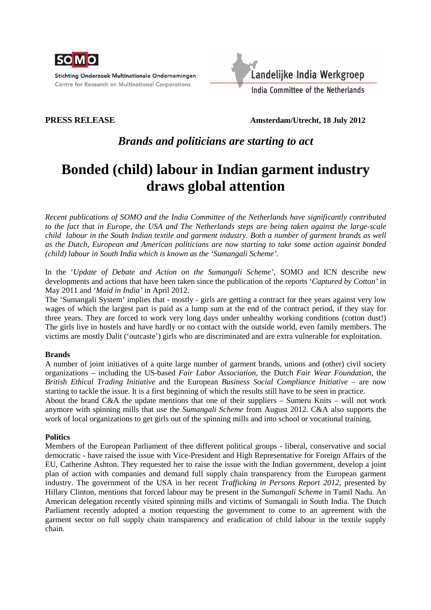

Stichting Onderzoek Multinationale Ondernemingen Centre for Research on Multinational Corporations



**PRESS RELEASE Amsterdam/Utrecht, 18 July 2012** 

# *Brands and politicians are starting to act*

# **Bonded (child) labour in Indian garment industry draws global attention**

*Recent publications of SOMO and the India Committee of the Netherlands have significantly contributed to the fact that in Europe, the USA and The Netherlands steps are being taken against the large-scale child labour in the South Indian textile and garment industry. Both a number of garment brands as well as the Dutch, European and American politicians are now starting to take some action against bonded (child) labour in South India which is known as the 'Sumangali Scheme'.* 

In the '*Update of Debate and Action on the Sumangali Scheme',* SOMO and ICN describe new developments and actions that have been taken since the publication of the reports '*Captured by Cotton'* in May 2011 and *'Maid in India'* in April 2012.

The 'Sumangali System' implies that - mostly - girls are getting a contract for thee years against very low wages of which the largest part is paid as a lump sum at the end of the contract period, if they stay for three years. They are forced to work very long days under unhealthy working conditions (cotton dust!) The girls live in hostels and have hardly or no contact with the outside world, even family members. The victims are mostly Dalit ('outcaste') girls who are discriminated and are extra vulnerable for exploitation.

#### **Brands**

A number of joint initiatives of a quite large number of garment brands, unions and (other) civil society organizations – including the US-based *Fair Labor Association*, the Dutch *Fair Wear Foundation*, the *British Ethical Trading Initiative* and the European *Business Social Compliance Initiative* – are now starting to tackle the issue. It is a first beginning of which the results still have to be seen in practice.

About the brand C&A the update mentions that one of their suppliers – Sumeru Knits – will not work anymore with spinning mills that use the *Sumangali Scheme* from August 2012. C&A also supports the work of local organizations to get girls out of the spinning mills and into school or vocational training.

#### **Politics**

Members of the European Parliament of thee different political groups - liberal, conservative and social democratic - have raised the issue with Vice-President and High Representative for Foreign Affairs of the EU, Catherine Ashton. They requested her to raise the issue with the Indian government, develop a joint plan of action with companies and demand full supply chain transparency from the European garment industry. The government of the USA in her recent *Trafficking in Persons Report 2012*, presented by Hillary Clinton, mentions that forced labour may be present in the *Sumangali Scheme* in Tamil Nadu. An American delegation recently visited spinning mills and victims of Sumangali in South India. The Dutch Parliament recently adopted a motion requesting the government to come to an agreement with the garment sector on full supply chain transparency and eradication of child labour in the textile supply chain.